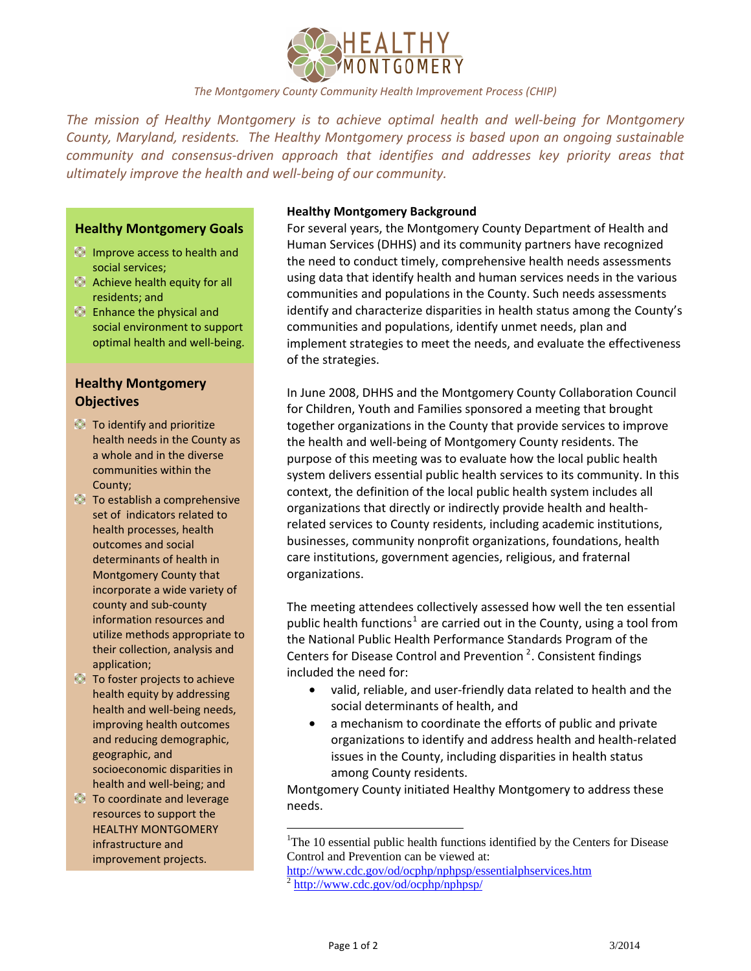

# *The Montgomery County Community Health Improvement Process (CHIP)*

*The mission of Healthy Montgomery is to achieve optimal health and well-being for Montgomery County, Maryland, residents. The Healthy Montgomery process is based upon an ongoing sustainable community and consensus-driven approach that identifies and addresses key priority areas that ultimately improve the health and well-being of our community.* 

### **Healthy Montgomery Goals**

- **Improve access to health and** social services;
- **Achieve health equity for all** residents; and
- **Enhance the physical and** social environment to support optimal health and well-being.

# **Healthy Montgomery Objectives**

- **To identify and prioritize** health needs in the County as a whole and in the diverse communities within the County;
- To establish a comprehensive set of indicators related to health processes, health outcomes and social determinants of health in Montgomery County that incorporate a wide variety of county and sub-county information resources and utilize methods appropriate to their collection, analysis and application;
- To foster projects to achieve health equity by addressing health and well-being needs, improving health outcomes and reducing demographic, geographic, and socioeconomic disparities in health and well-being; and
- <span id="page-0-1"></span><span id="page-0-0"></span>**To coordinate and leverage** resources to support the HEALTHY MONTGOMERY infrastructure and improvement projects.

#### **Healthy Montgomery Background**

For several years, the Montgomery County Department of Health and Human Services (DHHS) and its community partners have recognized the need to conduct timely, comprehensive health needs assessments using data that identify health and human services needs in the various communities and populations in the County. Such needs assessments identify and characterize disparities in health status among the County's communities and populations, identify unmet needs, plan and implement strategies to meet the needs, and evaluate the effectiveness of the strategies.

In June 2008, DHHS and the Montgomery County Collaboration Council for Children, Youth and Families sponsored a meeting that brought together organizations in the County that provide services to improve the health and well-being of Montgomery County residents. The purpose of this meeting was to evaluate how the local public health system delivers essential public health services to its community. In this context, the definition of the local public health system includes all organizations that directly or indirectly provide health and healthrelated services to County residents, including academic institutions, businesses, community nonprofit organizations, foundations, health care institutions, government agencies, religious, and fraternal organizations.

The meeting attendees collectively assessed how well the ten essential public health functions<sup>[1](#page-0-0)</sup> are carried out in the County, using a tool from the National Public Health Performance Standards Program of the Centers for Disease Control and Prevention<sup>[2](#page-0-1)</sup>. Consistent findings included the need for:

- valid, reliable, and user-friendly data related to health and the social determinants of health, and
- a mechanism to coordinate the efforts of public and private organizations to identify and address health and health-related issues in the County, including disparities in health status among County residents.

Montgomery County initiated Healthy Montgomery to address these needs.

 $\overline{a}$ 

<sup>&</sup>lt;sup>1</sup>The 10 essential public health functions identified by the Centers for Disease Control and Prevention can be viewed at:

[http://www.cdc.gov/od/ocphp/nphpsp/essentialphservices.htm 2](http://www.cdc.gov/od/ocphp/nphpsp/essentialphservices.htm) <http://www.cdc.gov/od/ocphp/nphpsp/>